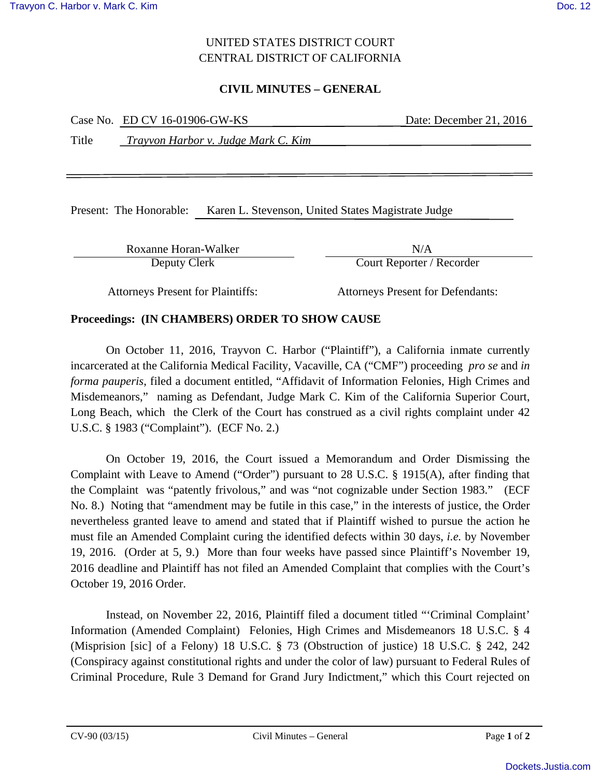# UNITED STATES DISTRICT COURT CENTRAL DISTRICT OF CALIFORNIA

## **CIVIL MINUTES – GENERAL**

|       | Case No. ED CV 16-01906-GW-KS       | Date: December 21, 2016 |
|-------|-------------------------------------|-------------------------|
| Title | Trayvon Harbor v. Judge Mark C. Kim |                         |
|       |                                     |                         |

Present: The Honorable: Karen L. Stevenson, United States Magistrate Judge

Roxanne Horan-Walker N/A

Deputy Clerk Court Reporter / Recorder

Attorneys Present for Plaintiffs: Attorneys Present for Defendants:

## **Proceedings: (IN CHAMBERS) ORDER TO SHOW CAUSE**

On October 11, 2016, Trayvon C. Harbor ("Plaintiff"), a California inmate currently incarcerated at the California Medical Facility, Vacaville, CA ("CMF") proceeding *pro se* and *in forma pauperis*, filed a document entitled, "Affidavit of Information Felonies, High Crimes and Misdemeanors," naming as Defendant, Judge Mark C. Kim of the California Superior Court, Long Beach, which the Clerk of the Court has construed as a civil rights complaint under 42 U.S.C. § 1983 ("Complaint"). (ECF No. 2.)

On October 19, 2016, the Court issued a Memorandum and Order Dismissing the Complaint with Leave to Amend ("Order") pursuant to 28 U.S.C. § 1915(A), after finding that the Complaint was "patently frivolous," and was "not cognizable under Section 1983." (ECF No. 8.) Noting that "amendment may be futile in this case," in the interests of justice, the Order nevertheless granted leave to amend and stated that if Plaintiff wished to pursue the action he must file an Amended Complaint curing the identified defects within 30 days, *i.e.* by November 19, 2016. (Order at 5, 9.) More than four weeks have passed since Plaintiff's November 19, 2016 deadline and Plaintiff has not filed an Amended Complaint that complies with the Court's October 19, 2016 Order.

Instead, on November 22, 2016, Plaintiff filed a document titled "'Criminal Complaint' Information (Amended Complaint) Felonies, High Crimes and Misdemeanors 18 U.S.C. § 4 (Misprision [sic] of a Felony) 18 U.S.C. § 73 (Obstruction of justice) 18 U.S.C. § 242, 242 (Conspiracy against constitutional rights and under the color of law) pursuant to Federal Rules of Criminal Procedure, Rule 3 Demand for Grand Jury Indictment," which this Court rejected on